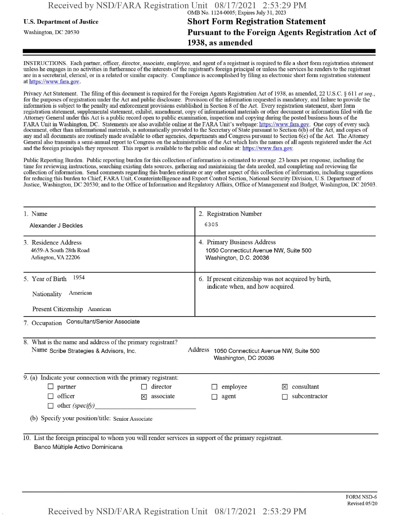## **u.s.** Department ofJustice **Short Form Registration Statement** Washington, dc <sup>20530</sup>**Pursuant to the Foreign Agents Registration Act of 1938, as amended**

INSTRUCTIONS. Each partner, officer, director, associate, employee, and agent of a registrant is required to file a short form registration statement unless he engages in no activities in furtherance ofthe interests ofthe registrant's foreign principal or unless the services he renders to the registrant are in a secretarial, clerical, or in a related or similar capacity. Compliance is accomplished by filing an electronic short form registration statement at https://www.fara.gov.

Privacy Act Statement. The filing of this document is required for the Foreign Agents Registration Act of 1938, as amended, 22 U.S.C. § 611 et seq., for the purposes ofregistration under the Act and public disclosure. Provision ofthe information requested is mandatory, and failure to provide the information is subject to the penalty and enforcement provisions established in Section 8 ofthe Act. Every registration statement, short form registration statement, supplemental statement, exhibit, amendment, copy ofinformational materials or other document or information filed with the Attorney General under this Act is a public record open to public examination, inspection and copying during the posted business hours of the FARA Unit in Washington, DC. Statements are also available online at the FARA Unit's webpage: https://www.fara.gov. One copy of every such document, other than informational materials, is automatically provided to the Secretary of State pursuant to Section 6(b) of the Act, and copies of any and all documents are routinely made available to other agencies, departments and Congress pursuant to Section 6(c) ofthe Act. The Attorney General also transmits a semi-annual report to Congress on the administration ofthe Act which lists the names of all agents registered under the Act and the foreign principals they represent. This report is available to the public and online at: https://www.fara.gov.

Public Reporting Burden. Public reporting burden for this collection ofinformation is estimated to average .23 hours per response, including the time for reviewing instructions, searching existing data sources, gathering and maintaining the data needed, and completing and reviewing the collection of information. Send comments regarding this burden estimate or any other aspect of this collection of information, including suggestions for reducing this burden to Chief, FARA Unit, Counterintelligence and Export Control Section, National Security Division, U.S. Department of Justice, Washington, DC 20530; and to the Office of Information and Regulatory Affairs, Office of Management and Budget, Washington, DC 20503.

| 1. Name<br>Alexander J Beckles                                                                                                                                                 | 2. Registration Number<br>6305                                                                 |  |  |  |  |  |  |
|--------------------------------------------------------------------------------------------------------------------------------------------------------------------------------|------------------------------------------------------------------------------------------------|--|--|--|--|--|--|
| 3. Residence Address<br>4659-A South 28th Road<br>Arlington, VA 22206                                                                                                          | 4. Primary Business Address<br>1050 Connecticut Avenue NW, Suite 500<br>Washington, D.C. 20036 |  |  |  |  |  |  |
| 1954<br>5. Year of Birth<br>American<br>Nationality<br>Present Citizenship American                                                                                            | 6. If present citizenship was not acquired by birth,<br>indicate when, and how acquired.       |  |  |  |  |  |  |
| 7. Occupation Consultant/Senior Associate                                                                                                                                      |                                                                                                |  |  |  |  |  |  |
| 8. What is the name and address of the primary registrant?<br>Address 1050 Connecticut Avenue NW, Suite 500<br>Name Scribe Strategies & Advisors, Inc.<br>Washington, DC 20036 |                                                                                                |  |  |  |  |  |  |
| 9. (a) Indicate your connection with the primary registrant:                                                                                                                   |                                                                                                |  |  |  |  |  |  |
| $\Box$ partner<br>director<br>officer<br>associate<br>$\times$<br>other (specify)<br>(b) Specify your position/title: Senior Associate                                         | employee<br>consultant<br>subcontractor<br>agent                                               |  |  |  |  |  |  |
| 10. List the foreign principal to whom you will render services in support of the primary registrant.<br>Banco Múltiple Activo Dominicana                                      |                                                                                                |  |  |  |  |  |  |